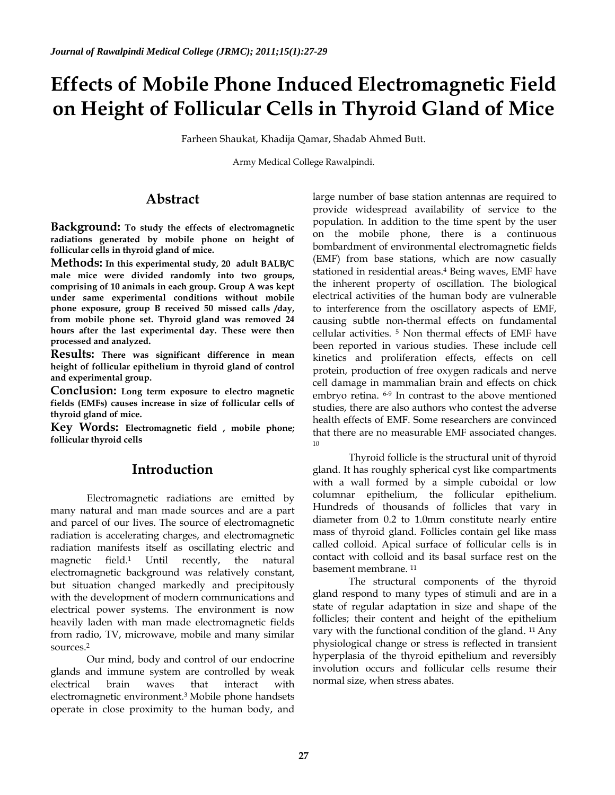# **Effects of Mobile Phone Induced Electromagnetic Field on Height of Follicular Cells in Thyroid Gland of Mice**

Farheen Shaukat, Khadija Qamar, Shadab Ahmed Butt.

Army Medical College Rawalpindi.

## **Abstract**

**Background: To study the effects of electromagnetic radiations generated by mobile phone on height of follicular cells in thyroid gland of mice.**

**Methods: In this experimental study, 20 adult BALB/C male mice were divided randomly into two groups, comprising of 10 animals in each group. Group A was kept under same experimental conditions without mobile phone exposure, group B received 50 missed calls /day, from mobile phone set. Thyroid gland was removed 24 hours after the last experimental day. These were then processed and analyzed.**

**Results: There was significant difference in mean height of follicular epithelium in thyroid gland of control and experimental group.**

**Conclusion: Long term exposure to electro magnetic fields (EMFs) causes increase in size of follicular cells of thyroid gland of mice.**

**Key Words: Electromagnetic field , mobile phone; follicular thyroid cells**

# **Introduction**

Electromagnetic radiations are emitted by many natural and man made sources and are a part and parcel of our lives. The source of electromagnetic radiation is accelerating charges, and electromagnetic radiation manifests itself as oscillating electric and magnetic field.1 Until recently, the natural electromagnetic background was relatively constant, but situation changed markedly and precipitously with the development of modern communications and electrical power systems. The environment is now heavily laden with man made electromagnetic fields from radio, TV, microwave, mobile and many similar sources.2

Our mind, body and control of our endocrine glands and immune system are controlled by weak electrical brain waves that interact with electromagnetic environment.3 Mobile phone handsets operate in close proximity to the human body, and

large number of base station antennas are required to provide widespread availability of service to the population. In addition to the time spent by the user on the mobile phone, there is a continuous bombardment of environmental electromagnetic fields (EMF) from base stations, which are now casually stationed in residential areas.<sup>4</sup> Being waves, EMF have the inherent property of oscillation. The biological electrical activities of the human body are vulnerable to interference from the oscillatory aspects of EMF, causing subtle non-thermal effects on fundamental cellular activities. <sup>5</sup> Non thermal effects of EMF have been reported in various studies. These include cell kinetics and proliferation effects, effects on cell protein, production of free oxygen radicals and nerve cell damage in mammalian brain and effects on chick embryo retina. 6-9 In contrast to the above mentioned studies, there are also authors who contest the adverse health effects of EMF. Some researchers are convinced that there are no measurable EMF associated changes. 10

Thyroid follicle is the structural unit of thyroid gland. It has roughly spherical cyst like compartments with a wall formed by a simple cuboidal or low columnar epithelium, the follicular epithelium. Hundreds of thousands of follicles that vary in diameter from 0.2 to 1.0mm constitute nearly entire mass of thyroid gland. Follicles contain gel like mass called colloid. Apical surface of follicular cells is in contact with colloid and its basal surface rest on the basement membrane. 11

The structural components of the thyroid gland respond to many types of stimuli and are in a state of regular adaptation in size and shape of the follicles; their content and height of the epithelium vary with the functional condition of the gland. 11 Any physiological change or stress is reflected in transient hyperplasia of the thyroid epithelium and reversibly involution occurs and follicular cells resume their normal size, when stress abates.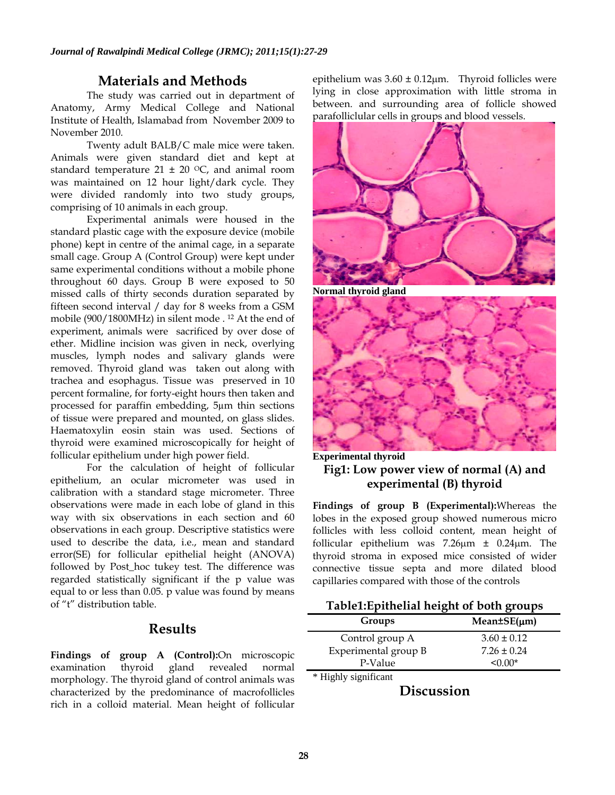### **Materials and Methods**

The study was carried out in department of Anatomy, Army Medical College and National Institute of Health, Islamabad from November 2009 to November 2010.

Twenty adult BALB/C male mice were taken. Animals were given standard diet and kept at standard temperature 21  $\pm$  20 °C, and animal room was maintained on 12 hour light/dark cycle. They were divided randomly into two study groups, comprising of 10 animals in each group.

Experimental animals were housed in the standard plastic cage with the exposure device (mobile phone) kept in centre of the animal cage, in a separate small cage. Group A (Control Group) were kept under same experimental conditions without a mobile phone throughout 60 days. Group B were exposed to 50 missed calls of thirty seconds duration separated by fifteen second interval / day for 8 weeks from a GSM mobile (900/1800MHz) in silent mode . 12 At the end of experiment, animals were sacrificed by over dose of ether. Midline incision was given in neck, overlying muscles, lymph nodes and salivary glands were removed. Thyroid gland was taken out along with trachea and esophagus. Tissue was preserved in 10 percent formaline, for forty-eight hours then taken and processed for paraffin embedding, 5µm thin sections of tissue were prepared and mounted, on glass slides. Haematoxylin eosin stain was used. Sections of thyroid were examined microscopically for height of follicular epithelium under high power field.

For the calculation of height of follicular epithelium, an ocular micrometer was used in calibration with a standard stage micrometer. Three observations were made in each lobe of gland in this way with six observations in each section and 60 observations in each group. Descriptive statistics were used to describe the data, i.e., mean and standard error(SE) for follicular epithelial height (ANOVA) followed by Post\_hoc tukey test. The difference was regarded statistically significant if the p value was equal to or less than 0.05. p value was found by means of "t" distribution table.

# **Results**

**Findings of group A (Control):**On microscopic examination thyroid gland revealed normal morphology. The thyroid gland of control animals was characterized by the predominance of macrofollicles rich in a colloid material. Mean height of follicular

epithelium was  $3.60 \pm 0.12 \mu m$ . Thyroid follicles were lying in close approximation with little stroma in between. and surrounding area of follicle showed parafolliclular cells in groups and blood vessels.



**Normal thyroid gland**



**Experimental thyroid Fig1: Low power view of normal (A) and experimental (B) thyroid** 

**Findings of group B (Experimental):**Whereas the lobes in the exposed group showed numerous micro follicles with less colloid content, mean height of follicular epithelium was 7.26µm ± 0.24µm. The thyroid stroma in exposed mice consisted of wider connective tissue septa and more dilated blood capillaries compared with those of the controls

#### **Table1:Epithelial height of both groups**

| Groups               | $Mean \pm SE(\mu m)$ |
|----------------------|----------------------|
| Control group A      | $3.60 \pm 0.12$      |
| Experimental group B | $7.26 \pm 0.24$      |
| P-Value              | <∩ ∩∩*               |
| * Highly significant |                      |

**Discussion**